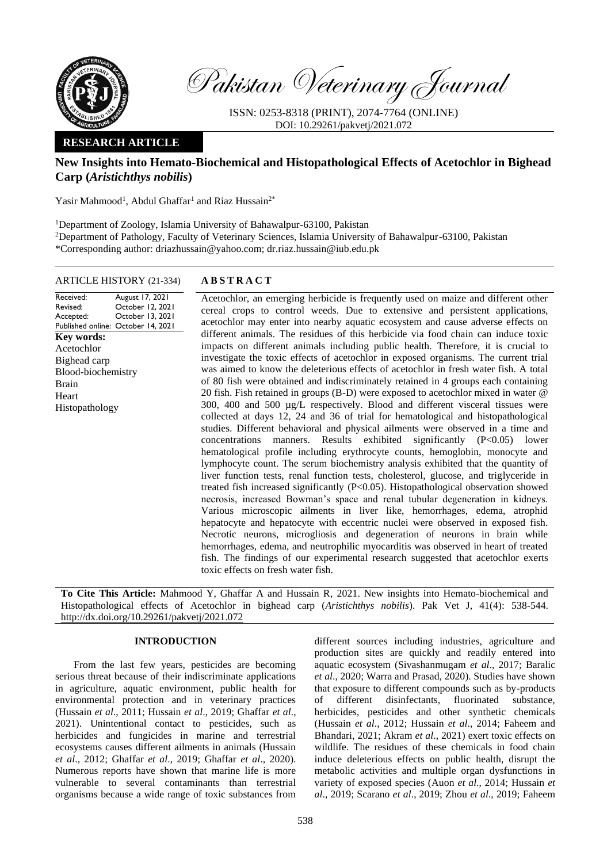

Pakistan Veterinary Journal

ISSN: 0253-8318 (PRINT), 2074-7764 (ONLINE) DOI: 10.29261/pakvetj/2021.072

# **RESEARCH ARTICLE**

# **New Insights into Hemato-Biochemical and Histopathological Effects of Acetochlor in Bighead Carp (***Aristichthys nobilis***)**

Yasir Mahmood<sup>1</sup>, Abdul Ghaffar<sup>1</sup> and Riaz Hussain<sup>2\*</sup>

<sup>1</sup>Department of Zoology, Islamia University of Bahawalpur-63100, Pakistan

<sup>2</sup>Department of Pathology, Faculty of Veterinary Sciences, Islamia University of Bahawalpur-63100, Pakistan \*Corresponding author: driazhussain@yahoo.com; dr.riaz.hussain@iub.edu.pk

### ARTICLE HISTORY (21-334) **A B S T R A C T**

Received: Revised: Accepted: Published online: October 14, 2021 August 17, 2021 October 12, 2021 October 13, 2021 **Key words:**  Acetochlor Bighead carp Blood-biochemistry Brain Heart Histopathology

Acetochlor, an emerging herbicide is frequently used on maize and different other cereal crops to control weeds. Due to extensive and persistent applications, acetochlor may enter into nearby aquatic ecosystem and cause adverse effects on different animals. The residues of this herbicide via food chain can induce toxic impacts on different animals including public health. Therefore, it is crucial to investigate the toxic effects of acetochlor in exposed organisms. The current trial was aimed to know the deleterious effects of acetochlor in fresh water fish. A total of 80 fish were obtained and indiscriminately retained in 4 groups each containing 20 fish. Fish retained in groups (B-D) were exposed to acetochlor mixed in water @ 300, 400 and 500 µg/L respectively. Blood and different visceral tissues were collected at days 12, 24 and 36 of trial for hematological and histopathological studies. Different behavioral and physical ailments were observed in a time and concentrations manners. Results exhibited significantly (P<0.05) lower hematological profile including erythrocyte counts, hemoglobin, monocyte and lymphocyte count. The serum biochemistry analysis exhibited that the quantity of liver function tests, renal function tests, cholesterol, glucose, and triglyceride in treated fish increased significantly (P<0.05). Histopathological observation showed necrosis, increased Bowman's space and renal tubular degeneration in kidneys. Various microscopic ailments in liver like, hemorrhages, edema, atrophid hepatocyte and hepatocyte with eccentric nuclei were observed in exposed fish. Necrotic neurons, microgliosis and degeneration of neurons in brain while hemorrhages, edema, and neutrophilic myocarditis was observed in heart of treated fish. The findings of our experimental research suggested that acetochlor exerts toxic effects on fresh water fish.

**To Cite This Article:** Mahmood Y, Ghaffar A and Hussain R, 2021. New insights into Hemato-biochemical and Histopathological effects of Acetochlor in bighead carp (*Aristichthys nobilis*). Pak Vet J, 41(4): 538-544. [http://dx.doi.org/10.29261/pakvetj/2021.072](http://pvj.com.pk/pdf-files/41_4/538-544.pdf)

## **INTRODUCTION**

From the last few years, pesticides are becoming serious threat because of their indiscriminate applications in agriculture, aquatic environment, public health for environmental protection and in veterinary practices (Hussain *et al*., 2011; Hussain *et al*., 2019; Ghaffar *et al*., 2021). Unintentional contact to pesticides, such as herbicides and fungicides in marine and terrestrial ecosystems causes different ailments in animals (Hussain *et al*., 2012; Ghaffar *et al*., 2019; Ghaffar *et al*., 2020). Numerous reports have shown that marine life is more vulnerable to several contaminants than terrestrial organisms because a wide range of toxic substances from

different sources including industries, agriculture and production sites are quickly and readily entered into aquatic ecosystem (Sivashanmugam *et al*., 2017; Baralic *et al*., 2020; Warra and Prasad, 2020). Studies have shown that exposure to different compounds such as by-products of different disinfectants, fluorinated substance, herbicides, pesticides and other synthetic chemicals (Hussain *et al*., 2012; Hussain *et al*., 2014; Faheem and Bhandari, 2021; Akram *et al*., 2021) exert toxic effects on wildlife. The residues of these chemicals in food chain induce deleterious effects on public health, disrupt the metabolic activities and multiple organ dysfunctions in variety of exposed species (Auon *et al*., 2014; Hussain *et al*., 2019; Scarano *et al*., 2019; Zhou *et al*., 2019; Faheem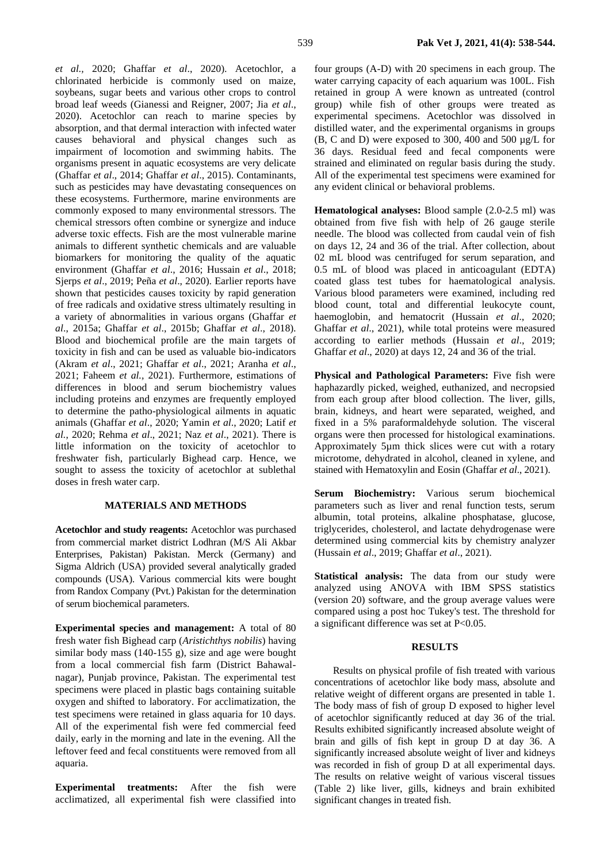*et al.,* 2020; Ghaffar *et al*., 2020). Acetochlor, a chlorinated herbicide is commonly used on maize, soybeans, sugar beets and various other crops to control broad leaf weeds (Gianessi and Reigner, 2007; Jia *et al*., 2020). Acetochlor can reach to marine species by absorption, and that dermal interaction with infected water causes behavioral and physical changes such as impairment of locomotion and swimming habits. The organisms present in aquatic ecosystems are very delicate (Ghaffar *et al*., 2014; Ghaffar *et al*., 2015). Contaminants, such as pesticides may have devastating consequences on these ecosystems. Furthermore, marine environments are commonly exposed to many environmental stressors. The chemical stressors often combine or synergize and induce adverse toxic effects. Fish are the most vulnerable marine animals to different synthetic chemicals and are valuable biomarkers for monitoring the quality of the aquatic environment (Ghaffar *et al*., 2016; Hussain *et al*., 2018; Sjerps *et al*., 2019; Peña *et al*., 2020). Earlier reports have shown that pesticides causes toxicity by rapid generation of free radicals and oxidative stress ultimately resulting in a variety of abnormalities in various organs (Ghaffar *et al*., 2015a; Ghaffar *et al*., 2015b; Ghaffar *et al*., 2018). Blood and biochemical profile are the main targets of toxicity in fish and can be used as valuable bio-indicators (Akram *et al*., 2021; Ghaffar *et al*., 2021; Aranha *et al*., 2021; Faheem *et al.,* 2021). Furthermore, estimations of differences in blood and serum biochemistry values including proteins and enzymes are frequently employed to determine the patho-physiological ailments in aquatic animals (Ghaffar *et al*., 2020; Yamin *et al*., 2020; Latif *et al.*, 2020; Rehma *et al*., 2021; Naz *et al*., 2021). There is little information on the toxicity of acetochlor to freshwater fish, particularly Bighead carp. Hence, we sought to assess the toxicity of acetochlor at sublethal

#### **MATERIALS AND METHODS**

doses in fresh water carp.

**Acetochlor and study reagents:** Acetochlor was purchased from commercial market district Lodhran (M/S Ali Akbar Enterprises, Pakistan) Pakistan. Merck (Germany) and Sigma Aldrich (USA) provided several analytically graded compounds (USA). Various commercial kits were bought from Randox Company (Pvt.) Pakistan for the determination of serum biochemical parameters.

**Experimental species and management:** A total of 80 fresh water fish Bighead carp (*Aristichthys nobilis*) having similar body mass (140-155 g), size and age were bought from a local commercial fish farm (District Bahawalnagar), Punjab province, Pakistan. The experimental test specimens were placed in plastic bags containing suitable oxygen and shifted to laboratory. For acclimatization, the test specimens were retained in glass aquaria for 10 days. All of the experimental fish were fed commercial feed daily, early in the morning and late in the evening. All the leftover feed and fecal constituents were removed from all aquaria.

**Experimental treatments:** After the fish were acclimatized, all experimental fish were classified into four groups (A-D) with 20 specimens in each group. The water carrying capacity of each aquarium was 100L. Fish retained in group A were known as untreated (control group) while fish of other groups were treated as experimental specimens. Acetochlor was dissolved in distilled water, and the experimental organisms in groups (B, C and D) were exposed to 300, 400 and 500 µg/L for 36 days. Residual feed and fecal components were strained and eliminated on regular basis during the study. All of the experimental test specimens were examined for any evident clinical or behavioral problems.

**Hematological analyses:** Blood sample (2.0-2.5 ml) was obtained from five fish with help of 26 gauge sterile needle. The blood was collected from caudal vein of fish on days 12, 24 and 36 of the trial. After collection, about 02 mL blood was centrifuged for serum separation, and 0.5 mL of blood was placed in anticoagulant (EDTA) coated glass test tubes for haematological analysis. Various blood parameters were examined, including red blood count, total and differential leukocyte count, haemoglobin, and hematocrit (Hussain *et al*., 2020; Ghaffar *et al*., 2021), while total proteins were measured according to earlier methods (Hussain *et al*., 2019; Ghaffar *et al*., 2020) at days 12, 24 and 36 of the trial.

**Physical and Pathological Parameters:** Five fish were haphazardly picked, weighed, euthanized, and necropsied from each group after blood collection. The liver, gills, brain, kidneys, and heart were separated, weighed, and fixed in a 5% paraformaldehyde solution. The visceral organs were then processed for histological examinations. Approximately 5µm thick slices were cut with a rotary microtome, dehydrated in alcohol, cleaned in xylene, and stained with Hematoxylin and Eosin (Ghaffar *et al*., 2021).

**Serum Biochemistry:** Various serum biochemical parameters such as liver and renal function tests, serum albumin, total proteins, alkaline phosphatase, glucose, triglycerides, cholesterol, and lactate dehydrogenase were determined using commercial kits by chemistry analyzer (Hussain *et al*., 2019; Ghaffar *et al*., 2021).

**Statistical analysis:** The data from our study were analyzed using ANOVA with IBM SPSS statistics (version 20) software, and the group average values were compared using a post hoc Tukey's test. The threshold for a significant difference was set at P<0.05.

#### **RESULTS**

Results on physical profile of fish treated with various concentrations of acetochlor like body mass, absolute and relative weight of different organs are presented in table 1. The body mass of fish of group D exposed to higher level of acetochlor significantly reduced at day 36 of the trial. Results exhibited significantly increased absolute weight of brain and gills of fish kept in group D at day 36. A significantly increased absolute weight of liver and kidneys was recorded in fish of group D at all experimental days. The results on relative weight of various visceral tissues (Table 2) like liver, gills, kidneys and brain exhibited significant changes in treated fish.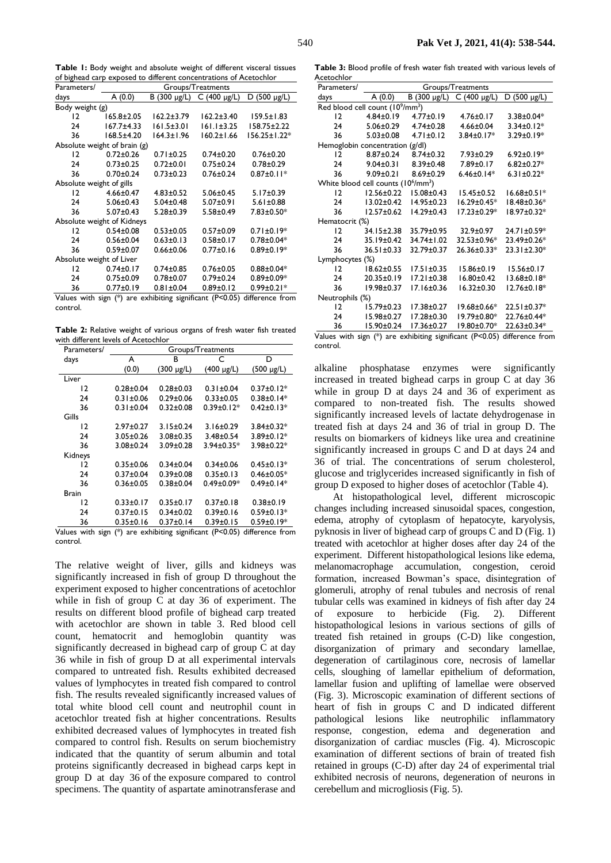**Table 1:** Body weight and absolute weight of different visceral tissues of bighead carp exposed to different concentrations of Acetochlor

| D (500 µg/L)<br>days<br>A(0.0)<br>$B(300 \text{ µg/L})$<br>$C(400 \mu g/L)$<br>Body weight (g)<br>$\overline{2}$<br>$165.8 \pm 2.05$<br>$162.2 \pm 3.79$<br>$162.2 \pm 3.40$<br>$159.5 \pm 1.83$<br>$161.1 \pm 3.25$<br>$167.7 + 4.33$<br>$161.5 \pm 3.01$<br>$158.75 \pm 2.22$<br>24<br>$160.2 \pm 1.66$<br>$168.5 \pm 4.20$<br>$164.3 \pm 1.96$<br>156.25±1.22*<br>36<br>Absolute weight of brain $(g)$<br>$0.72 \pm 0.26$<br>$0.71 \pm 0.25$<br>12<br>$0.74 \pm 0.20$<br>$0.76 \pm 0.20$<br>$0.78 + 0.29$<br>24<br>$0.73 \pm 0.25$<br>$0.72 \pm 0.01$<br>$0.75 \pm 0.24$<br>$0.70 + 0.24$<br>$0.73 \pm 0.23$<br>$0.76 \pm 0.24$<br>$0.87 \pm 0.11*$<br>36<br>Absolute weight of gills<br>12<br>$4.66 \pm 0.47$<br>$4.83 \pm 0.52$<br>$5.17 \pm 0.39$<br>$5.06 \pm 0.45$<br>$5.06 \pm 0.43$<br>$5.04 \pm 0.48$<br>$5.07 \pm 0.91$<br>$5.61 \pm 0.88$<br>24<br>$5.07 \pm 0.43$<br>36<br>$5.28 \pm 0.39$<br>$5.58 \pm 0.49$<br>$7.83 \pm 0.50*$<br>Absolute weight of Kidneys<br>$\overline{2}$<br>$0.54 \pm 0.08$<br>$0.53 \pm 0.05$<br>$0.57 \pm 0.09$<br>$0.71 \pm 0.19*$<br>$0.56 \pm 0.04$<br>$0.63 \pm 0.13$<br>$0.58 + 0.17$<br>$0.78 \pm 0.04*$<br>24<br>$0.89 \pm 0.19*$<br>36<br>$0.59 \pm 0.07$<br>$0.66 \pm 0.06$<br>$0.77 \pm 0.16$<br>Absolute weight of Liver | Parameters/ | Groups/Treatments |                 |                 |                  |  |
|------------------------------------------------------------------------------------------------------------------------------------------------------------------------------------------------------------------------------------------------------------------------------------------------------------------------------------------------------------------------------------------------------------------------------------------------------------------------------------------------------------------------------------------------------------------------------------------------------------------------------------------------------------------------------------------------------------------------------------------------------------------------------------------------------------------------------------------------------------------------------------------------------------------------------------------------------------------------------------------------------------------------------------------------------------------------------------------------------------------------------------------------------------------------------------------------------------------------------------------------------------------------------|-------------|-------------------|-----------------|-----------------|------------------|--|
|                                                                                                                                                                                                                                                                                                                                                                                                                                                                                                                                                                                                                                                                                                                                                                                                                                                                                                                                                                                                                                                                                                                                                                                                                                                                              |             |                   |                 |                 |                  |  |
|                                                                                                                                                                                                                                                                                                                                                                                                                                                                                                                                                                                                                                                                                                                                                                                                                                                                                                                                                                                                                                                                                                                                                                                                                                                                              |             |                   |                 |                 |                  |  |
|                                                                                                                                                                                                                                                                                                                                                                                                                                                                                                                                                                                                                                                                                                                                                                                                                                                                                                                                                                                                                                                                                                                                                                                                                                                                              |             |                   |                 |                 |                  |  |
|                                                                                                                                                                                                                                                                                                                                                                                                                                                                                                                                                                                                                                                                                                                                                                                                                                                                                                                                                                                                                                                                                                                                                                                                                                                                              |             |                   |                 |                 |                  |  |
|                                                                                                                                                                                                                                                                                                                                                                                                                                                                                                                                                                                                                                                                                                                                                                                                                                                                                                                                                                                                                                                                                                                                                                                                                                                                              |             |                   |                 |                 |                  |  |
|                                                                                                                                                                                                                                                                                                                                                                                                                                                                                                                                                                                                                                                                                                                                                                                                                                                                                                                                                                                                                                                                                                                                                                                                                                                                              |             |                   |                 |                 |                  |  |
|                                                                                                                                                                                                                                                                                                                                                                                                                                                                                                                                                                                                                                                                                                                                                                                                                                                                                                                                                                                                                                                                                                                                                                                                                                                                              |             |                   |                 |                 |                  |  |
|                                                                                                                                                                                                                                                                                                                                                                                                                                                                                                                                                                                                                                                                                                                                                                                                                                                                                                                                                                                                                                                                                                                                                                                                                                                                              |             |                   |                 |                 |                  |  |
|                                                                                                                                                                                                                                                                                                                                                                                                                                                                                                                                                                                                                                                                                                                                                                                                                                                                                                                                                                                                                                                                                                                                                                                                                                                                              |             |                   |                 |                 |                  |  |
|                                                                                                                                                                                                                                                                                                                                                                                                                                                                                                                                                                                                                                                                                                                                                                                                                                                                                                                                                                                                                                                                                                                                                                                                                                                                              |             |                   |                 |                 |                  |  |
|                                                                                                                                                                                                                                                                                                                                                                                                                                                                                                                                                                                                                                                                                                                                                                                                                                                                                                                                                                                                                                                                                                                                                                                                                                                                              |             |                   |                 |                 |                  |  |
|                                                                                                                                                                                                                                                                                                                                                                                                                                                                                                                                                                                                                                                                                                                                                                                                                                                                                                                                                                                                                                                                                                                                                                                                                                                                              |             |                   |                 |                 |                  |  |
|                                                                                                                                                                                                                                                                                                                                                                                                                                                                                                                                                                                                                                                                                                                                                                                                                                                                                                                                                                                                                                                                                                                                                                                                                                                                              |             |                   |                 |                 |                  |  |
|                                                                                                                                                                                                                                                                                                                                                                                                                                                                                                                                                                                                                                                                                                                                                                                                                                                                                                                                                                                                                                                                                                                                                                                                                                                                              |             |                   |                 |                 |                  |  |
|                                                                                                                                                                                                                                                                                                                                                                                                                                                                                                                                                                                                                                                                                                                                                                                                                                                                                                                                                                                                                                                                                                                                                                                                                                                                              |             |                   |                 |                 |                  |  |
|                                                                                                                                                                                                                                                                                                                                                                                                                                                                                                                                                                                                                                                                                                                                                                                                                                                                                                                                                                                                                                                                                                                                                                                                                                                                              |             |                   |                 |                 |                  |  |
|                                                                                                                                                                                                                                                                                                                                                                                                                                                                                                                                                                                                                                                                                                                                                                                                                                                                                                                                                                                                                                                                                                                                                                                                                                                                              |             |                   |                 |                 |                  |  |
|                                                                                                                                                                                                                                                                                                                                                                                                                                                                                                                                                                                                                                                                                                                                                                                                                                                                                                                                                                                                                                                                                                                                                                                                                                                                              |             |                   |                 |                 |                  |  |
|                                                                                                                                                                                                                                                                                                                                                                                                                                                                                                                                                                                                                                                                                                                                                                                                                                                                                                                                                                                                                                                                                                                                                                                                                                                                              | 12          | $0.74 \pm 0.17$   | $0.74 \pm 0.85$ | $0.76 \pm 0.05$ | $0.88 \pm 0.04*$ |  |
| $0.75 \pm 0.09$<br>$0.78 + 0.07$<br>$0.79 \pm 0.24$<br>$0.89 \pm 0.09*$<br>24                                                                                                                                                                                                                                                                                                                                                                                                                                                                                                                                                                                                                                                                                                                                                                                                                                                                                                                                                                                                                                                                                                                                                                                                |             |                   |                 |                 |                  |  |
| $0.77 \pm 0.19$<br>$0.81 \pm 0.04$<br>$0.89 \pm 0.12$<br>$0.99 \pm 0.21*$<br>36                                                                                                                                                                                                                                                                                                                                                                                                                                                                                                                                                                                                                                                                                                                                                                                                                                                                                                                                                                                                                                                                                                                                                                                              |             |                   |                 |                 |                  |  |

Values with sign (\*) are exhibiting significant (P<0.05) difference from control.

**Table 2:** Relative weight of various organs of fresh water fish treated with different levels of Acetochlor

| Parameters/ | Groups/Treatments |                 |                  |                  |
|-------------|-------------------|-----------------|------------------|------------------|
| days        | A                 | в               | С                | D                |
|             | (0.0)             | $(300 \mu g/L)$ | $(400 \mu g/L)$  | (500 µg/L)       |
| Liver       |                   |                 |                  |                  |
| 12          | $0.28 \pm 0.04$   | $0.28 \pm 0.03$ | $0.31 \pm 0.04$  | $0.37 \pm 0.12*$ |
| 24          | $0.31 \pm 0.06$   | $0.29 \pm 0.06$ | $0.33 \pm 0.05$  | $0.38 \pm 0.14*$ |
| 36          | $0.31 \pm 0.04$   | $0.32 \pm 0.08$ | $0.39 \pm 0.12*$ | $0.42 \pm 0.13*$ |
| Gills       |                   |                 |                  |                  |
| 12          | $2.97 \pm 0.27$   | $3.15 \pm 0.24$ | $3.16 \pm 0.29$  | $3.84 \pm 0.32*$ |
| 24          | $3.05 \pm 0.26$   | $3.08 \pm 0.35$ | $3.48 \pm 0.54$  | $3.89 \pm 0.12*$ |
| 36          | $3.08 \pm 0.24$   | $3.09 \pm 0.28$ | $3.94 \pm 0.35*$ | 3.98±0.22*       |
| Kidneys     |                   |                 |                  |                  |
| 12          | $0.35 \pm 0.06$   | $0.34 \pm 0.04$ | $0.34 \pm 0.06$  | $0.45 \pm 0.13*$ |
| 24          | $0.37 \pm 0.04$   | $0.39 \pm 0.08$ | $0.35 \pm 0.13$  | $0.46 \pm 0.05*$ |
| 36          | $0.36 \pm 0.05$   | $0.38 + 0.04$   | $0.49 \pm 0.09*$ | $0.49 \pm 0.14*$ |
| Brain       |                   |                 |                  |                  |
| 12          | $0.33 \pm 0.17$   | $0.35 \pm 0.17$ | $0.37 \pm 0.18$  | $0.38 + 0.19$    |
| 24          | $0.37 \pm 0.15$   | $0.34 \pm 0.02$ | $0.39 \pm 0.16$  | $0.59 \pm 0.13*$ |
| 36          | $0.35 \pm 0.16$   | $0.37 \pm 0.14$ | $0.39 \pm 0.15$  | $0.59 \pm 0.19*$ |

Values with sign (\*) are exhibiting significant (P<0.05) difference from control.

The relative weight of liver, gills and kidneys was significantly increased in fish of group D throughout the experiment exposed to higher concentrations of acetochlor while in fish of group C at day 36 of experiment. The results on different blood profile of bighead carp treated with acetochlor are shown in table 3. Red blood cell count, hematocrit and hemoglobin quantity was significantly decreased in bighead carp of group C at day 36 while in fish of group D at all experimental intervals compared to untreated fish. Results exhibited decreased values of lymphocytes in treated fish compared to control fish. The results revealed significantly increased values of total white blood cell count and neutrophil count in acetochlor treated fish at higher concentrations. Results exhibited decreased values of lymphocytes in treated fish compared to control fish. Results on serum biochemistry indicated that the quantity of serum albumin and total proteins significantly decreased in bighead carps kept in group D at day 36 of the exposure compared to control specimens. The quantity of aspartate aminotransferase and

**Table 3:** Blood profile of fresh water fish treated with various levels of Acetochlor

| Groups/Treatments                                                |                  |                                                                               |                   |  |  |
|------------------------------------------------------------------|------------------|-------------------------------------------------------------------------------|-------------------|--|--|
| A (0.0)                                                          | B (300 µg/L)     | $C(400 \mu g/L)$                                                              | D (500 µg/L)      |  |  |
| days<br>Red blood cell count (10 <sup>9</sup> /mm <sup>3</sup> ) |                  |                                                                               |                   |  |  |
| $4.84 \pm 0.19$                                                  | $4.77 \pm 0.19$  | $4.76 \pm 0.17$                                                               | $3.38 \pm 0.04*$  |  |  |
|                                                                  | $4.74 \pm 0.28$  | $4.66 \pm 0.04$                                                               | $3.34 \pm 0.12*$  |  |  |
| $5.03 \pm 0.08$                                                  | $4.71 \pm 0.12$  | $3.84 \pm 0.17*$                                                              | $3.29 \pm 0.19*$  |  |  |
|                                                                  |                  |                                                                               |                   |  |  |
| $8.87 \pm 0.24$                                                  | $8.74 \pm 0.32$  | $7.93 \pm 0.29$                                                               | $6.92 \pm 0.19*$  |  |  |
|                                                                  | $8.39 \pm 0.48$  | 7.89±0.17                                                                     | $6.82 \pm 0.27*$  |  |  |
| $9.09 \pm 0.21$                                                  | $8.69 \pm 0.29$  | $6.46 \pm 0.14*$                                                              | $6.31 \pm 0.22*$  |  |  |
| White blood cell counts (10 <sup>6</sup> /mm <sup>3</sup> )      |                  |                                                                               |                   |  |  |
| $12.56 \pm 0.22$                                                 | $15.08 \pm 0.43$ | $15.45 \pm 0.52$                                                              | $16.68 \pm 0.51*$ |  |  |
| $13.02 \pm 0.42$                                                 | $14.95 \pm 0.23$ | $16.29 \pm 0.45*$                                                             | 18.48±0.36*       |  |  |
| $12.57 \pm 0.62$                                                 | $14.29 \pm 0.43$ | $17.23 \pm 0.29*$                                                             | 18.97±0.32*       |  |  |
| Hematocrit (%)                                                   |                  |                                                                               |                   |  |  |
| 34.15±2.38                                                       | 35.79±0.95       | $32.9 \pm 0.97$                                                               | 24.71±0.59*       |  |  |
|                                                                  | 34.74±1.02       | 32.53±0.96*                                                                   | 23.49±0.26*       |  |  |
| $36.51 \pm 0.33$                                                 | 32.79±0.37       | 26.36±0.33*                                                                   | $23.31 \pm 2.30*$ |  |  |
| Lymphocytes (%)                                                  |                  |                                                                               |                   |  |  |
| $18.62 \pm 0.55$                                                 | $17.51 \pm 0.35$ | $15.86 \pm 0.19$                                                              | 15.56±0.17        |  |  |
| 20.35±0.19                                                       | $17.21 \pm 0.38$ | $16.80 \pm 0.42$                                                              | $13.68 \pm 0.18*$ |  |  |
| 19.98±0.37                                                       | 17.16±0.36       | $16.32 \pm 0.30$                                                              | $12.76 \pm 0.18*$ |  |  |
| Neutrophils (%)                                                  |                  |                                                                               |                   |  |  |
| $15.79 \pm 0.23$                                                 | 17.38±0.27       | $19.68 \pm 0.66*$                                                             | 22.51±0.37*       |  |  |
| 15.98±0.27                                                       | 17.28±0.30       | $19.79 \pm 0.80*$                                                             | 22.76±0.44*       |  |  |
| 15.90±0.24                                                       | 17.36±0.27       | 19.80±0.70*                                                                   | 22.63±0.34*       |  |  |
|                                                                  | $f_{\rm eff}$    | 5.06±0.29<br>Hemoglobin concentration (g/dl)<br>$9.04 \pm 0.31$<br>35.19±0.42 | (5.00)            |  |  |

Values with sign (\*) are exhibiting significant (P<0.05) difference from control.

alkaline phosphatase enzymes were significantly increased in treated bighead carps in group C at day 36 while in group D at days 24 and 36 of experiment as compared to non-treated fish. The results showed significantly increased levels of lactate dehydrogenase in treated fish at days 24 and 36 of trial in group D. The results on biomarkers of kidneys like urea and creatinine significantly increased in groups C and D at days 24 and 36 of trial. The concentrations of serum cholesterol, glucose and triglycerides increased significantly in fish of group D exposed to higher doses of acetochlor (Table 4).

At histopathological level, different microscopic changes including increased sinusoidal spaces, congestion, edema, atrophy of cytoplasm of hepatocyte, karyolysis, pyknosis in liver of bighead carp of groups C and D (Fig. 1) treated with acetochlor at higher doses after day 24 of the experiment. Different histopathological lesions like edema, melanomacrophage accumulation, congestion, ceroid formation, increased Bowman's space, disintegration of glomeruli, atrophy of renal tubules and necrosis of renal tubular cells was examined in kidneys of fish after day 24 of exposure to herbicide (Fig. 2). Different histopathological lesions in various sections of gills of treated fish retained in groups (C-D) like congestion, disorganization of primary and secondary lamellae, degeneration of cartilaginous core, necrosis of lamellar cells, sloughing of lamellar epithelium of deformation, lamellar fusion and uplifting of lamellae were observed (Fig. 3). Microscopic examination of different sections of heart of fish in groups C and D indicated different pathological lesions like neutrophilic inflammatory response, congestion, edema and degeneration and disorganization of cardiac muscles (Fig. 4). Microscopic examination of different sections of brain of treated fish retained in groups (C-D) after day 24 of experimental trial exhibited necrosis of neurons, degeneration of neurons in cerebellum and microgliosis (Fig. 5).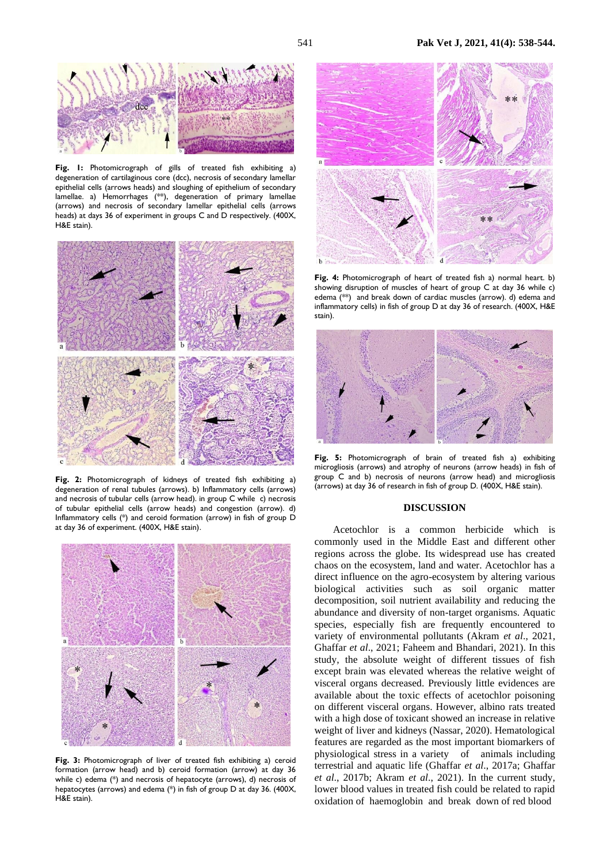

**Fig. 1:** Photomicrograph of gills of treated fish exhibiting a) degeneration of cartilaginous core (dcc), necrosis of secondary lamellar epithelial cells (arrows heads) and sloughing of epithelium of secondary lamellae. a) Hemorrhages (\*\*), degeneration of primary lamellae (arrows) and necrosis of secondary lamellar epithelial cells (arrows heads) at days 36 of experiment in groups C and D respectively. (400X, H&E stain).



**Fig. 2:** Photomicrograph of kidneys of treated fish exhibiting a) degeneration of renal tubules (arrows). b) Inflammatory cells (arrows) and necrosis of tubular cells (arrow head). in group C while c) necrosis of tubular epithelial cells (arrow heads) and congestion (arrow). d) Inflammatory cells (\*) and ceroid formation (arrow) in fish of group D at day 36 of experiment. (400X, H&E stain).



Fig. 3: Photomicrograph of liver of treated fish exhibiting a) ceroid formation (arrow head) and b) ceroid formation (arrow) at day 36 while c) edema (\*) and necrosis of hepatocyte (arrows), d) necrosis of hepatocytes (arrows) and edema (\*) in fish of group D at day 36. (400X, H&E stain).



**Fig. 4:** Photomicrograph of heart of treated fish a) normal heart. b) showing disruption of muscles of heart of group C at day 36 while c) edema (\*\*) and break down of cardiac muscles (arrow). d) edema and inflammatory cells) in fish of group D at day 36 of research. (400X, H&E stain).



**Fig. 5:** Photomicrograph of brain of treated fish a) exhibiting microgliosis (arrows) and atrophy of neurons (arrow heads) in fish of group C and b) necrosis of neurons (arrow head) and microgliosis (arrows) at day 36 of research in fish of group D. (400X, H&E stain).

#### **DISCUSSION**

Acetochlor is a common herbicide which is commonly used in the Middle East and different other regions across the globe. Its widespread use has created chaos on the ecosystem, land and water. Acetochlor has a direct influence on the agro-ecosystem by altering various biological activities such as soil organic matter decomposition, soil nutrient availability and reducing the abundance and diversity of non-target organisms. Aquatic species, especially fish are frequently encountered to variety of environmental pollutants (Akram *et al*., 2021, Ghaffar *et al*., 2021; Faheem and Bhandari, 2021). In this study, the absolute weight of different tissues of fish except brain was elevated whereas the relative weight of visceral organs decreased. Previously little evidences are available about the toxic effects of acetochlor poisoning on different visceral organs. However, albino rats treated with a high dose of toxicant showed an increase in relative weight of liver and kidneys (Nassar, 2020). Hematological features are regarded as the most important biomarkers of physiological stress in a variety of animals including terrestrial and aquatic life (Ghaffar *et al*., 2017a; Ghaffar *et al*., 2017b; Akram *et al*., 2021). In the current study, lower blood values in treated fish could be related to rapid oxidation of haemoglobin and break down of red blood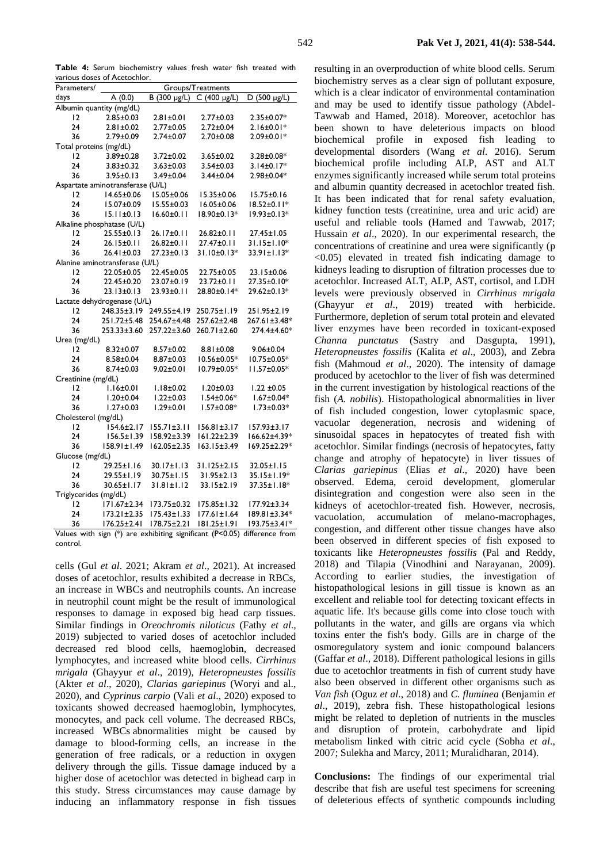**Table 4:** Serum biochemistry values fresh water fish treated with various doses of Acetochlor.

| Parameters/              | Groups/Treatments                |                   |                   |                   |  |
|--------------------------|----------------------------------|-------------------|-------------------|-------------------|--|
| days                     | A(0.0)                           | B (300 µg/L)      | $C(400 \mu g/L)$  | D (500 $\mu$ g/L) |  |
| Albumin quantity (mg/dL) |                                  |                   |                   |                   |  |
| $\overline{2}$           | $2.85 \pm 0.03$                  | $2.81 \pm 0.01$   | $2.77 \pm 0.03$   | 2.35±0.07*        |  |
| 24                       | $2.81 \pm 0.02$                  | $2.77 \pm 0.05$   | $2.72 \pm 0.04$   | $2.16 \pm 0.01*$  |  |
| 36                       | $2.79 \pm 0.09$                  | $2.74 \pm 0.07$   | $2.70 \pm 0.08$   | 2.09±0.01*        |  |
| Total proteins (mg/dL)   |                                  |                   |                   |                   |  |
| 12                       | 3.89±0.28                        | 3.72±0.02         | $3.65 \pm 0.02$   | 3.28±0.08*        |  |
| 24                       | $3.83 \pm 0.32$                  | $3.63 \pm 0.03$   | $3.54 \pm 0.03$   | $3.14 \pm 0.17*$  |  |
| 36                       | $3.95 \pm 0.13$                  | 3.49±0.04         | $3.44 \pm 0.04$   | 2.98±0.04*        |  |
|                          | Aspartate aminotransferase (U/L) |                   |                   |                   |  |
| $\overline{2}$           | 14.65±0.06                       | I5.05±0.06        | 15.35±0.06        | $15.75 \pm 0.16$  |  |
| 24                       | I5.07±0.09                       | $15.55 \pm 0.03$  | $16.05 \pm 0.06$  | $18.52 \pm 0.11*$ |  |
| 36                       | $15.11 \pm 0.13$                 | $16.60 \pm 0.11$  | $18.90 \pm 0.13*$ | $19.93 \pm 0.13*$ |  |
|                          | Alkaline phosphatase (U/L)       |                   |                   |                   |  |
| 12                       | $25.55 \pm 0.13$                 | $26.17 \pm 0.11$  | $26.82 \pm 0.11$  | 27.45±1.05        |  |
| 24                       | $26.15 \pm 0.11$                 | $26.82 \pm 0.11$  | $27.47 \pm 0.11$  | $31.15 \pm 1.10*$ |  |
| 36                       | $26.41 \pm 0.03$                 | $27.23 \pm 0.13$  | $31.10 \pm 0.13*$ | $33.91 \pm 1.13*$ |  |
|                          | Alanine aminotransferase (U/L)   |                   |                   |                   |  |
| $\overline{2}$           | 22.05±0.05                       | 22.45±0.05        | 22.75±0.05        | 23.15±0.06        |  |
| 24                       | 22.45±0.20                       | 23.07±0.19        | 23.72±0.11        | 27.35±0.10*       |  |
| 36                       | $23.13 \pm 0.13$                 | $23.93 \pm 0.11$  | 28.80±0.14*       | 29.62±0.13*       |  |
|                          | Lactate dehydrogenase (U/L)      |                   |                   |                   |  |
| $\overline{2}$           | 248.35±3.19                      | 249.55±4.19       | 250.75±1.19       | 251.95±2.19       |  |
| 24                       | 251.72±5.48                      | 254.67±4.48       | 257.62±2.48       | 267.61±3.48*      |  |
| 36                       | 253.33±3.60                      | 257.22±3.60       | 260.71±2.60       | 274.4±4.60*       |  |
| Urea (mg/dL)             |                                  |                   |                   |                   |  |
| $\overline{2}$           | $8.32 \pm 0.07$                  | 8.57±0.02         | 8.81±0.08         | $9.06 \pm 0.04$   |  |
| 24                       | $8.58 \pm 0.04$                  | 8.87±0.03         | 10.56±0.05*       | 10.75±0.05*       |  |
| 36                       | $8.74 \pm 0.03$                  | $9.02 \pm 0.01$   | 10.79±0.05*       | $11.57 \pm 0.05*$ |  |
| Creatinine (mg/dL)       |                                  |                   |                   |                   |  |
| $\overline{2}$           | $1.16 \pm 0.01$                  | $1.18 \pm 0.02$   | $1.20 \pm 0.03$   | $1.22 \pm 0.05$   |  |
| 24                       | $1.20 \pm 0.04$                  | $1.22 \pm 0.03$   | $1.54 \pm 0.06*$  | $1.67 \pm 0.04*$  |  |
| 36                       | $1.27 \pm 0.03$                  | $1.29 \pm 0.01$   | $1.57 \pm 0.08*$  | $1.73 \pm 0.03*$  |  |
| Cholesterol (mg/dL)      |                                  |                   |                   |                   |  |
| $\overline{2}$           | I54.6±2.17                       | $155.71 \pm 3.11$ | $156.81 \pm 3.17$ | $157.93 \pm 3.17$ |  |
| 24                       | 156.5±1.39                       | $158.92 \pm 3.39$ | $161.22 \pm 2.39$ | 166.62±4.39*      |  |
| 36                       | $158.91 \pm 1.49$                | $162.05 \pm 2.35$ | $163.15 \pm 3.49$ | 169.25±2.29*      |  |
| Glucose (mg/dL)          |                                  |                   |                   |                   |  |
| 12                       | $29.25 \pm 1.16$                 | $30.17 \pm 1.13$  | 31.125±2.15       | $32.05 \pm 1.15$  |  |
| 24                       | 29.55±1.19                       | $30.75 \pm 1.15$  | $31.95 \pm 2.13$  | 35.15±1.19*       |  |
| 36                       | $30.65 \pm 1.17$                 | $31.81 \pm 1.12$  | 33.15±2.19        | 37.35±1.18*       |  |
| Triglycerides (mg/dL)    |                                  |                   |                   |                   |  |
| $\overline{2}$           | I71.67±2.34                      | 173.75±0.32       | 175.85±1.32       | $177.92 \pm 3.34$ |  |
| 24                       | $173.21 \pm 2.35$                | 175.43±1.33       | $177.61 \pm 1.64$ | 189.81±3.34*      |  |
| 36                       | $176.25 \pm 2.41$                | 178.75±2.21       | $181.25 \pm 1.91$ | 193.75±3.41*      |  |

Values with sign (\*) are exhibiting significant (P<0.05) difference from control.

cells (Gul *et al*. 2021; Akram *et al*., 2021). At increased doses of acetochlor, results exhibited a decrease in RBCs, an increase in WBCs and neutrophils counts. An increase in neutrophil count might be the result of immunological responses to damage in exposed big head carp tissues. Similar findings in *Oreochromis niloticus* (Fathy *et al*., 2019) subjected to varied doses of acetochlor included decreased red blood cells, haemoglobin, decreased lymphocytes, and increased white blood cells. *Cirrhinus mrigala* (Ghayyur *et al*., 2019), *Heteropneustes fossilis* (Akter *et al*., 2020), *Clarias gariepinus* (Woryi and al., 2020), and *Cyprinus carpio* (Vali *et al*., 2020) exposed to toxicants showed decreased haemoglobin, lymphocytes, monocytes, and pack cell volume. The decreased RBCs, increased WBCs abnormalities might be caused by damage to blood-forming cells, an increase in the generation of free radicals, or a reduction in oxygen delivery through the gills. Tissue damage induced by a higher dose of acetochlor was detected in bighead carp in this study. Stress circumstances may cause damage by inducing an inflammatory response in fish tissues

resulting in an overproduction of white blood cells. Serum biochemistry serves as a clear sign of pollutant exposure, which is a clear indicator of environmental contamination and may be used to identify tissue pathology (Abdel-Tawwab and Hamed, 2018). Moreover, acetochlor has been shown to have deleterious impacts on blood biochemical profile in exposed fish leading to developmental disorders (Wang *et al*. 2016). Serum biochemical profile including ALP, AST and ALT enzymes significantly increased while serum total proteins and albumin quantity decreased in acetochlor treated fish. It has been indicated that for renal safety evaluation, kidney function tests (creatinine, urea and uric acid) are useful and reliable tools (Hamed and Tawwab, 2017; Hussain *et al*., 2020). In our experimental research, the concentrations of creatinine and urea were significantly (p  $\langle 0.05 \rangle$  elevated in treated fish indicating damage to kidneys leading to disruption of filtration processes due to acetochlor. Increased ALT, ALP, AST, cortisol, and LDH levels were previously observed in *Cirrhinus mrigala* (Ghayyur *et al*., 2019) treated with herbicide. Furthermore, depletion of serum total protein and elevated liver enzymes have been recorded in toxicant-exposed *Channa punctatus* (Sastry and Dasgupta, 1991), *Heteropneustes fossilis* (Kalita *et al*., 2003), and Zebra fish (Mahmoud *et al*., 2020). The intensity of damage produced by acetochlor to the liver of fish was determined in the current investigation by histological reactions of the fish (*A. nobilis*). Histopathological abnormalities in liver of fish included congestion, lower cytoplasmic space, vacuolar degeneration, necrosis and widening of sinusoidal spaces in hepatocytes of treated fish with acetochlor. Similar findings (necrosis of hepatocytes, fatty change and atrophy of hepatocyte) in liver tissues of *Clarias gariepinus* (Elias *et al*., 2020) have been observed. Edema, ceroid development, glomerular disintegration and congestion were also seen in the kidneys of acetochlor-treated fish. However, necrosis, vacuolation, accumulation of melano-macrophages, congestion, and different other tissue changes have also been observed in different species of fish exposed to toxicants like *Heteropneustes fossilis* (Pal and Reddy, 2018) and Tilapia (Vinodhini and Narayanan, 2009). According to earlier studies, the investigation of histopathological lesions in gill tissue is known as an excellent and reliable tool for detecting toxicant effects in aquatic life. It's because gills come into close touch with pollutants in the water, and gills are organs via which toxins enter the fish's body. Gills are in charge of the osmoregulatory system and ionic compound balancers (Gaffar *et al*., 2018). Different pathological lesions in gills due to acetochlor treatments in fish of current study have also been observed in different other organisms such as *Van fish* (Oguz *et al*., 2018) and *C. fluminea* (Benjamin *et al*., 2019), zebra fish. These histopathological lesions might be related to depletion of nutrients in the muscles and disruption of protein, carbohydrate and lipid metabolism linked with citric acid cycle (Sobha *et al*., 2007; Sulekha and Marcy, 2011; Muralidharan, 2014).

**Conclusions:** The findings of our experimental trial describe that fish are useful test specimens for screening of deleterious effects of synthetic compounds including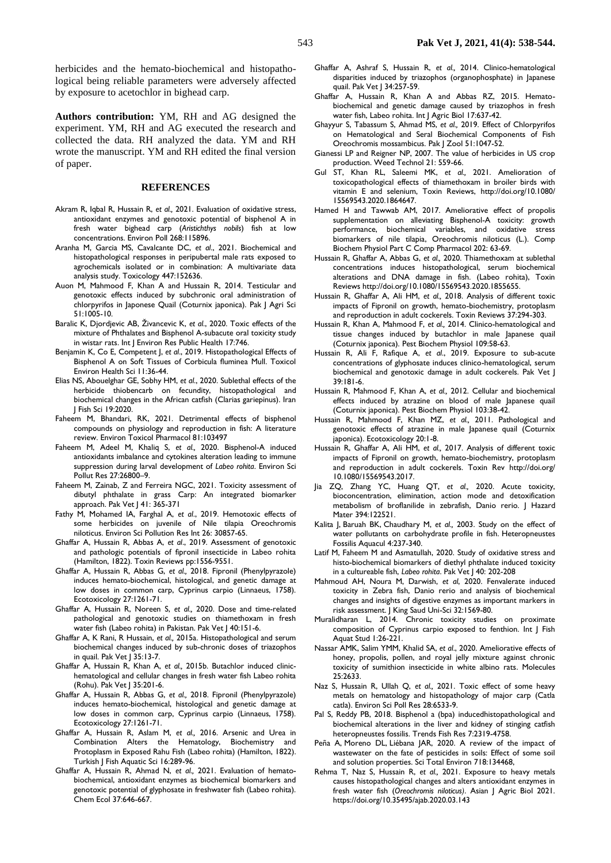herbicides and the hemato-biochemical and histopathological being reliable parameters were adversely affected by exposure to acetochlor in bighead carp.

**Authors contribution:** YM, RH and AG designed the experiment. YM, RH and AG executed the research and collected the data. RH analyzed the data. YM and RH wrote the manuscript. YM and RH edited the final version of paper.

## **REFERENCES**

- Akram R, Iqbal R, Hussain R, *et al.,* 2021. Evaluation of oxidative stress, antioxidant enzymes and genotoxic potential of bisphenol A in fresh water bighead carp (*Aristichthys nobils*) fish at low concentrations. Environ Poll 268:115896.
- Aranha M, Garcia MS, Cavalcante DC, *et al*., 2021. Biochemical and histopathological responses in peripubertal male rats exposed to agrochemicals isolated or in combination: A multivariate data analysis study. Toxicology 447:152636.
- Auon M, Mahmood F, Khan A and Hussain R, 2014. Testicular and genotoxic effects induced by subchronic oral administration of chlorpyrifos in Japonese Quail (Coturnix japonica). Pak J Agri Sci 51:1005-10.
- Baralic K, Djordjevic AB, Živancevic K, *et al*., 2020. Toxic effects of the mixture of Phthalates and Bisphenol A-subacute oral toxicity study in wistar rats. Int | Environ Res Public Health 17:746.
- Benjamin K, Co E, Competent J, *et al*., 2019. Histopathological Effects of Bisphenol A on Soft Tissues of Corbicula fluminea Mull. Toxicol Environ Health Sci 11:36-44.
- Elias NS, Abouelghar GE, Sobhy HM, *et al*., 2020. Sublethal effects of the herbicide thiobencarb on fecundity, histopathological and biochemical changes in the African catfish (Clarias gariepinus). Iran J Fish Sci 19:2020.
- Faheem M, Bhandari, RK, 2021. Detrimental effects of bisphenol compounds on physiology and reproduction in fish: A literature review. Environ Toxicol Pharmacol 81:103497
- Faheem M, Adeel M, Khaliq S, *et al.,* 2020. Bisphenol-A induced antioxidants imbalance and cytokines alteration leading to immune suppression during larval development of *Labeo rohita*. Environ Sci Pollut Res 27:26800–9.
- Faheem M, Zainab, Z and Ferreira NGC, 2021. Toxicity assessment of dibutyl phthalate in grass Carp: An integrated biomarker approach. Pak Vet J 41: 365-371
- Fathy M, Mohamed IA, Farghal A, *et al*., 2019. Hemotoxic effects of some herbicides on juvenile of Nile tilapia Oreochromis niloticus. Environ Sci Pollution Res Int 26: 30857-65.
- Ghaffar A, Hussain R, Abbas A, *et al*., 2019. Assessment of genotoxic and pathologic potentials of fipronil insecticide in Labeo rohita (Hamilton, 1822). Toxin Reviews pp:1556-9551.
- Ghaffar A, Hussain R, Abbas G, *et al.,* 2018. Fipronil (Phenylpyrazole) induces hemato-biochemical, histological, and genetic damage at low doses in common carp, Cyprinus carpio (Linnaeus, 1758). Ecotoxicology 27:1261-71.
- Ghaffar A, Hussain R, Noreen S, *et al.,* 2020. Dose and time-related pathological and genotoxic studies on thiamethoxam in fresh water fish (Labeo rohita) in Pakistan. Pak Vet J 40:151-6.
- Ghaffar A, K Rani, R Hussain, *et al.,* 2015a. Histopathological and serum biochemical changes induced by sub-chronic doses of triazophos in quail. Pak Vet J 35:13-7.
- Ghaffar A, Hussain R, Khan A, *et al.,* 2015b. Butachlor induced clinichematological and cellular changes in fresh water fish Labeo rohita (Rohu). Pak Vet J 35:201-6.
- Ghaffar A, Hussain R, Abbas G, *et al.,* 2018. Fipronil (Phenylpyrazole) induces hemato-biochemical, histological and genetic damage at low doses in common carp, Cyprinus carpio (Linnaeus, 1758). Ecotoxicology 27:1261-71.
- Ghaffar A, Hussain R, Aslam M, *et al.,* 2016. Arsenic and Urea in Combination Alters the Hematology, Biochemistry and Protoplasm in Exposed Rahu Fish (Labeo rohita) (Hamilton, 1822). Turkish J Fish Aquatic Sci 16:289-96.
- Ghaffar A, Hussain R, Ahmad N, *et al.,* 2021. Evaluation of hematobiochemical, antioxidant enzymes as biochemical biomarkers and genotoxic potential of glyphosate in freshwater fish (Labeo rohita). Chem Ecol 37:646-667.
- Ghaffar A, Ashraf S, Hussain R, *et al.,* 2014. Clinico-hematological disparities induced by triazophos (organophosphate) in Japanese quail. Pak Vet J 34:257-59.
- Ghaffar A, Hussain R, Khan A and Abbas RZ, 2015. Hematobiochemical and genetic damage caused by triazophos in fresh water fish, Labeo rohita. Int J Agric Biol 17:637-42.
- Ghayyur S, Tabassum S, Ahmad MS, *et al.,* 2019. Effect of Chlorpyrifos on Hematological and Seral Biochemical Components of Fish Oreochromis mossambicus. Pak J Zool 51:1047-52.
- Gianessi LP and Reigner NP, 2007. The value of herbicides in US crop production. Weed Technol 21: 559-66.
- Gul ST, Khan RL, Saleemi MK, *et al.,* 2021. Amelioration of toxicopathological effects of thiamethoxam in broiler birds with vitamin E and selenium, Toxin Reviews, http://doi.org/10.1080/ 15569543.2020.1864647.
- Hamed H and Tawwab AM, 2017. Ameliorative effect of propolis supplementation on alleviating Bisphenol-A toxicity: growth performance, biochemical variables, and oxidative stress biomarkers of nile tilapia, Oreochromis niloticus (L.). Comp Biochem Physiol Part C Comp Pharmacol 202: 63-69.
- Hussain R, Ghaffar A, Abbas G, *et al.,* 2020. Thiamethoxam at sublethal concentrations induces histopathological, serum biochemical alterations and DNA damage in fish. (Labeo rohita), Toxin Reviews http://doi.org/10.1080/15569543.2020.1855655.
- Hussain R, Ghaffar A, Ali HM, *et al.,* 2018. Analysis of different toxic impacts of Fipronil on growth, hemato-biochemistry, protoplasm and reproduction in adult cockerels. Toxin Reviews 37:294-303.
- Hussain R, Khan A, Mahmood F, *et al.,* 2014. Clinico-hematological and tissue changes induced by butachlor in male Japanese quail (Coturnix japonica). Pest Biochem Physiol 109:58-63.
- Hussain R, Ali F, Rafique A, *et al*., 2019. Exposure to sub-acute concentrations of glyphosate induces clinico-hematological, serum biochemical and genotoxic damage in adult cockerels. Pak Vet J 39:181-6.
- Hussain R, Mahmood F, Khan A, *et al.,* 2012. Cellular and biochemical effects induced by atrazine on blood of male Japanese quail (Coturnix japonica). Pest Biochem Physiol 103:38-42.
- Hussain R, Mahmood F, Khan MZ, *et al.,* 2011. Pathological and genotoxic effects of atrazine in male Japanese quail (Coturnix japonica). Ecotoxicology 20:1-8.
- Hussain R, Ghaffar A, Ali HM, *et al.,* 2017. Analysis of different toxic impacts of Fipronil on growth, hemato-biochemistry, protoplasm and reproduction in adult cockerels. Toxin Rev http://doi.org/ 10.1080/15569543.2017.
- Jia ZQ, Zhang YC, Huang QT, *et al.,* 2020. Acute toxicity, bioconcentration, elimination, action mode and detoxification metabolism of broflanilide in zebrafish, Danio rerio. J Hazard Mater 394:122521.
- Kalita J, Baruah BK, Chaudhary M, *et al.,* 2003. Study on the effect of water pollutants on carbohydrate profile in fish. Heteropneustes Fossilis Aquacul 4:237-340.
- Latif M, Faheem M and Asmatullah, 2020. Study of oxidative stress and histo-biochemical biomarkers of diethyl phthalate induced toxicity in a cultureable fish, *Labeo rohita*. Pak Vet J 40: 202-208
- Mahmoud AH, Noura M, Darwish, *et al*, 2020. Fenvalerate induced toxicity in Zebra fish, Danio rerio and analysis of biochemical changes and insights of digestive enzymes as important markers in risk assessment. J King Saud Uni-Sci 32:1569-80.
- Muralidharan L, 2014. Chronic toxicity studies on proximate composition of Cyprinus carpio exposed to fenthion. Int J Fish Aquat Stud 1:26-221.
- Nassar AMK, Salim YMM, Khalid SA, *et al*., 2020. Ameliorative effects of honey, propolis, pollen, and royal jelly mixture against chronic toxicity of sumithion insecticide in white albino rats. Molecules 25:2633.
- Naz S, Hussain R, Ullah Q, *et al.,* 2021. Toxic effect of some heavy metals on hematology and histopathology of major carp (Catla catla). Environ Sci Poll Res 28:6533-9.
- Pal S, Reddy PB, 2018. Bisphenol a (bpa) inducedhistopathological and biochemical alterations in the liver and kidney of stinging catfish heteropneustes fossilis. Trends Fish Res 7:2319-4758.
- Peña A, Moreno DL, Liébana JAR, 2020. A review of the impact of wastewater on the fate of pesticides in soils: Effect of some soil and solution properties. Sci Total Environ 718:134468,
- Rehma T, Naz S, Hussain R, *et al.,* 2021. Exposure to heavy metals causes histopathological changes and alters antioxidant enzymes in fresh water fish (*Oreochromis niloticus)*. Asian J Agric Biol 2021. <https://doi.org/10.35495/ajab.2020.03.143>